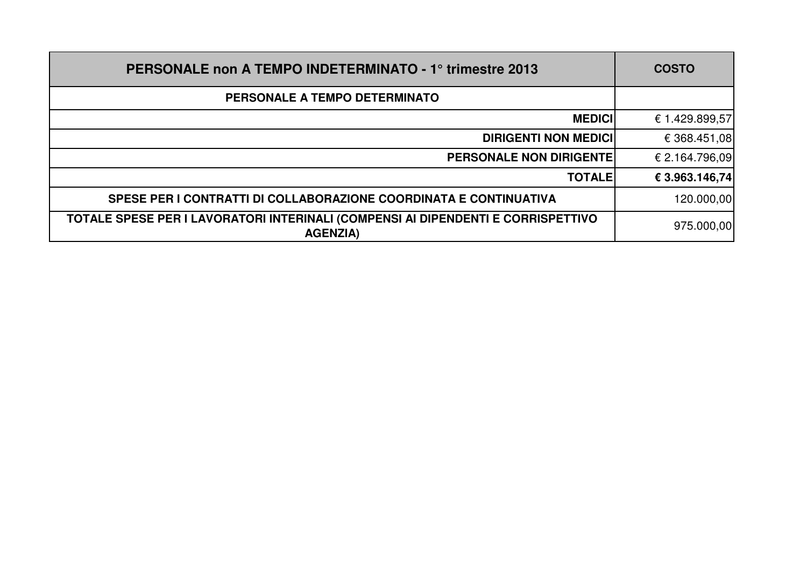| <b>PERSONALE non A TEMPO INDETERMINATO - 1° trimestre 2013</b>                                      | <b>COSTO</b>   |
|-----------------------------------------------------------------------------------------------------|----------------|
| PERSONALE A TEMPO DETERMINATO                                                                       |                |
| <b>MEDICI</b>                                                                                       | € 1.429.899,57 |
| <b>DIRIGENTI NON MEDICI</b>                                                                         | € 368.451,08   |
| <b>PERSONALE NON DIRIGENTE</b>                                                                      | € 2.164.796,09 |
| <b>TOTALE</b>                                                                                       | € 3.963.146,74 |
| SPESE PER I CONTRATTI DI COLLABORAZIONE COORDINATA E CONTINUATIVA                                   | 120.000,00     |
| TOTALE SPESE PER I LAVORATORI INTERINALI (COMPENSI AI DIPENDENTI E CORRISPETTIVO<br><b>AGENZIA)</b> | 975.000,00     |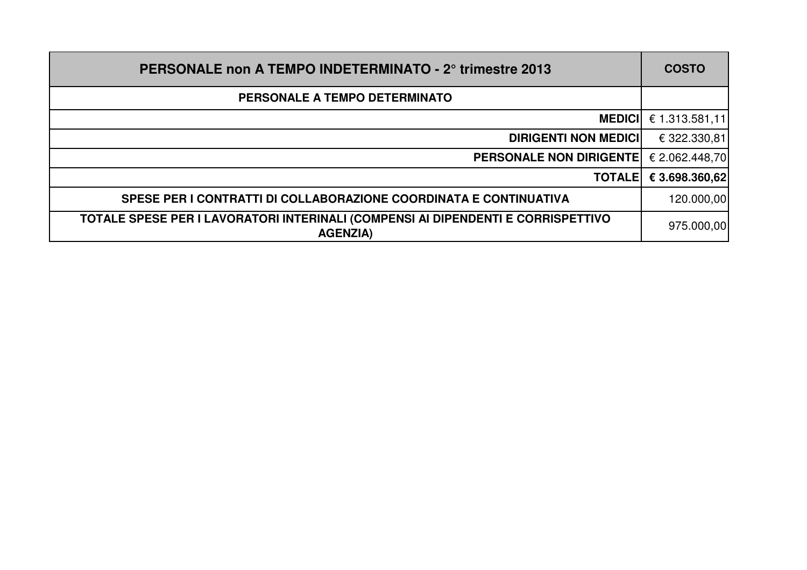| <b>PERSONALE non A TEMPO INDETERMINATO - 2° trimestre 2013</b>                                      | <b>COSTO</b>   |
|-----------------------------------------------------------------------------------------------------|----------------|
| PERSONALE A TEMPO DETERMINATO                                                                       |                |
| <b>MEDICII</b>                                                                                      | € 1.313.581,11 |
| <b>DIRIGENTI NON MEDICI</b>                                                                         | € 322.330,81   |
| <b>PERSONALE NON DIRIGENTE!</b>                                                                     | € 2.062.448,70 |
| <b>TOTALE</b>                                                                                       | € 3.698.360,62 |
| SPESE PER I CONTRATTI DI COLLABORAZIONE COORDINATA E CONTINUATIVA                                   | 120.000,00     |
| TOTALE SPESE PER I LAVORATORI INTERINALI (COMPENSI AI DIPENDENTI E CORRISPETTIVO<br><b>AGENZIA)</b> | 975.000,00     |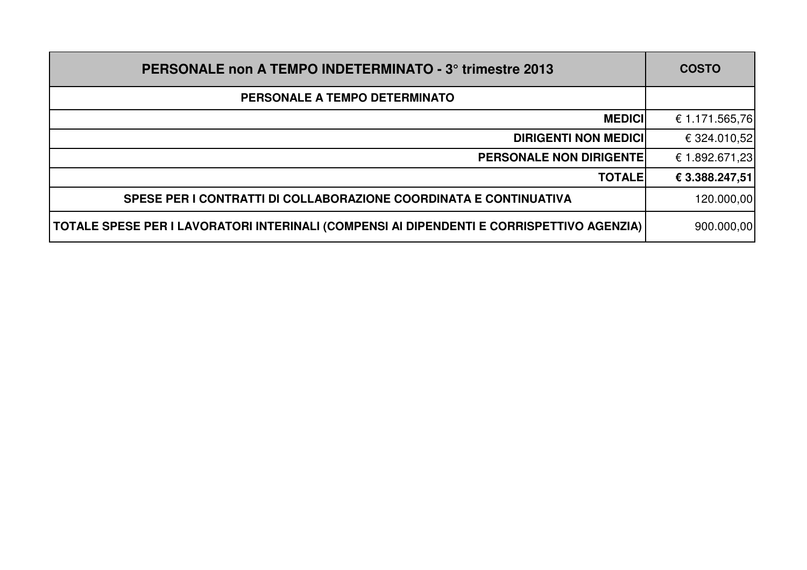| <b>PERSONALE non A TEMPO INDETERMINATO - 3° trimestre 2013</b>                            | <b>COSTO</b>   |
|-------------------------------------------------------------------------------------------|----------------|
| PERSONALE A TEMPO DETERMINATO                                                             |                |
| <b>MEDICI</b>                                                                             | € 1.171.565,76 |
| <b>DIRIGENTI NON MEDICI</b>                                                               | € 324.010,52   |
| <b>PERSONALE NON DIRIGENTE</b>                                                            | € 1.892.671,23 |
| <b>TOTALE</b>                                                                             | € 3.388.247,51 |
| SPESE PER I CONTRATTI DI COLLABORAZIONE COORDINATA E CONTINUATIVA                         | 120.000,00     |
| TOTALE SPESE PER I LAVORATORI INTERINALI (COMPENSI AI DIPENDENTI E CORRISPETTIVO AGENZIA) | 900.000,00     |